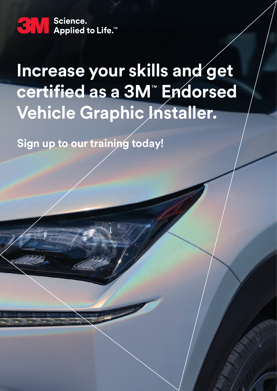San Science.<br>
Applied to Life.™ Science.

# **Increase your skills and get certified as a 3M**™  **Endorsed Vehicle Graphic Installer.**

**Sign up to our training today!**